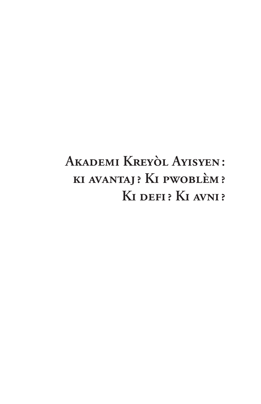# AKADEMI KREYÒL AYISYEN: KI AVANTAJ? KI PWOBLÈM? KI DEFI? KI AVNI?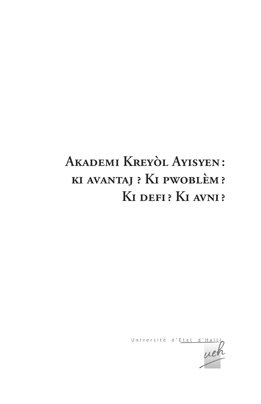# AKADEMI KREYÒL AYISYEN: KI AVANTAJ ? KI PWOBLÈM? KI DEFI? KI AVNI?

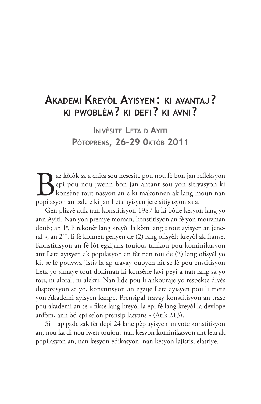## AKADEMI KREYÒL AYISYEN: KI AVANTAJ? KI PWOBLÈM? KI DEFI? KI AVNI?

**INIVÈSITE LETA D AYITI** PÒTOPRENS, 26-29 OKTÒB 2011

az kòlòk sa a chita sou nesesite pou nou fè bon jan refleksyon epi pou nou jwenn bon jan antant sou yon sitiyasyon ki konsène tout nasyon an e ki makonnen ak lang moun nan popilasyon an pale e ki jan Leta ayisyen jere sitiyasyon sa a.

Gen plizyè atik nan konstitisyon 1987 la ki bòde kesyon lang yo ann Ayiti. Nan yon premye moman, konstitisyon an fè yon mouvman doub; an 1<sup>e</sup>, li rekonèt lang kreyòl la kòm lang « tout ayisyen an jeneral », an 2<sup>èm</sup>, li fè konnen genyen de (2) lang ofisyèl: kreyòl ak franse. Konstitisyon an fè lòt egzijans toujou, tankou pou kominikasyon ant Leta ayisyen ak popilasyon an fèt nan tou de (2) lang ofisyèl yo kit se lè pouvwa jistis la ap travay oubyen kit se lè pou enstitisyon Leta yo simaye tout dokiman ki konsène lavi peyi a nan lang sa yo tou, ni aloral, ni alekri. Nan lide pou li ankouraje yo respekte divès dispozisyon sa yo, konstitisyon an egzije Leta ayisyen pou li mete yon Akademi ayisyen kanpe. Prensipal travay konstitisyon an trase pou akademi an se « fikse lang kreyòl la epi fè lang kreyòl la devlope anfòm, ann òd epi selon prensip lasyans » (Atik 213).

Si n ap gade sak fèt depi 24 lane pèp ayisyen an vote konstitisyon an, nou ka di nou lwen toujou: nan kesyon kominikasyon ant leta ak popilasyon an, nan kesyon edikasyon, nan kesyon lajistis, elatriye.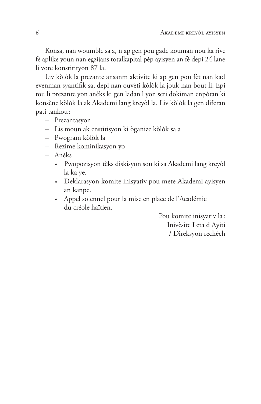Konsa, nan woumble sa a, n ap gen pou gade kouman nou ka rive fè aplike youn nan egzijans totalkapital pèp ayisyen an fè depi 24 lane li vote konstitityon 87 la.

Liv kòlòk la prezante ansanm aktivite ki ap gen pou fèt nan kad evenman syantifik sa, depi nan ouvèti kòlòk la jouk nan bout li. Epi tou li prezante yon anèks ki gen ladan l yon seri dokiman enpòtan ki konsène kòlòk la ak Akademi lang kreyòl la. Liv kòlòk la gen diferan pati tankou:

- Prezantasyon
- Lis moun ak enstitisyon ki òganize kòlòk sa a
- Pwogram kòlòk la
- Rezime kominikasyon yo
- Anèks
	- » Pwopozisyon tèks diskisyon sou ki sa Akademi lang kreyòl la ka ye.
	- » Deklarasyon komite inisyativ pou mete Akademi ayisyen an kanpe.
	- » Appel solennel pour la mise en place de l'Académie du créole haïtien

Pou komite inisyativ la: Inivèsite Leta d Ayiti / Direksyon rechèch

6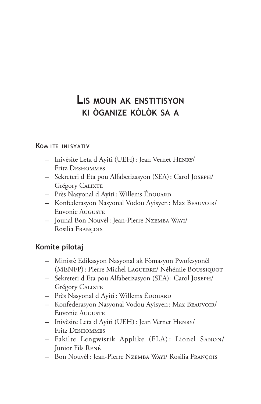# LIS MOUN AK ENSTITISYON KI ÒGANIZE KÒLÒK SA A

#### **KOM ITE INISYATIV**

- Inivèsite Leta d Ayiti (UEH): Jean Vernet HENRY/ Fritz DESHOMMES
- Sekreteri d Eta pou Alfabetizasyon (SEA): Carol JOSEPH/ **Grégory CALIXTE**
- Près Nasyonal d'Ayiti: Willems ÉDOUARD
- Konfederasyon Nasyonal Vodou Ayisyen: Max BEAUVOIR/ Euvonie Auguste
- Jounal Bon Nouvèl: Jean-Pierre NZEMBA WAYI/ Rosilia François

### Komite pilotaj

- Ministè Edikasyon Nasyonal ak Fòmasyon Pwofesyonèl (MENFP): Pierre Michel LAGUERRE/ Néhémie BOUSSIQUOT
- Sekreteri d Eta pou Alfabetizasyon (SEA): Carol JOSEPH/ **Grégory CALIXTE**
- Près Nasyonal d'Ayiti: Willems EDOUARD
- Konfederasyon Nasyonal Vodou Ayisyen: Max BEAUVOIR/ Euvonie Auguste
- Inivèsite Leta d Ayiti (UEH): Jean Vernet HENRY/ Fritz DESHOMMES
- Fakilte Lengwistik Applike (FLA): Lionel SANON/ Junior Fils RENÉ
- Bon Nouvèl: Jean-Pierre NzEMBA WAYI/ Rosilia FRANÇOIS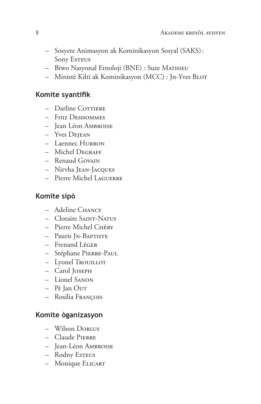- Sosyete Animasyon ak Kominikasyon Sosyal (SAKS): **Sony ESTEUS**
- Biwo Nasyonal Etnoloji (BNE) : Suze MATHIEU
- Ministè Kilti ak Kominikasyon (MCC) : Jn-Yves BLOT

#### Komite syantifik

- Darline COTTIERE
- Fritz DESHOMMES
- Jean Léon AMBROISE
- Yves Deiean
- Laennec HURBON
- Michel DEGRAFF
- Renaud GOVAIN
- Nirvha JEAN-JACQUES
- Pierre Michel LAGUERRE

### Komite sipò

- Adeline CHANCY
- Clotaire SAINT-NATUS
- Pierre Michel CHÉRY
- Pauris JN-BAPTISTE
- Frenand LÉGER
- Stéphane PIERRE-PAUL
- Lyonel TrouILLOT
- Carol JOSEPH
- Lionel SANON
- Pè Jan Our
- Rosilia François

### Komite òganizasyon

- Wilson DORLUS
- Claude PIERRE
- Jean-Léon AMBROISE
- Rodny Esteus
- Monique ELICART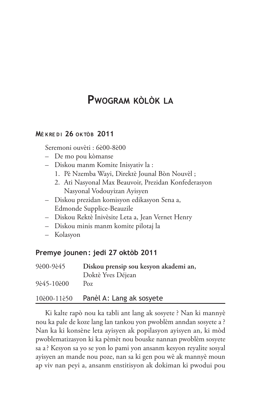## **PWOGRAM KÒLÒK LA**

#### **MÈKREDI 26 OKTÒB 2011**

Seremoni ouvèti : 6è00-8è00

- De mo pou kòmanse
- Diskou manm Komite Inisyativ la :
	- 1. Pè Nzemba Wayi, Direktè Jounal Bòn Nouvèl;
	- 2. Ati Nasyonal Max Beauvoir, Prezidan Konfederasyon Nasyonal Vodouyizan Ayisyen
- Diskou prezidan komisyon edikasyon Sena a, Edmonde Supplice-Beauzile
- Diskou Rektè Inivèsite Leta a, Jean Vernet Henry
- Diskou minis manm komite pilotaj la
- Kolasyon

#### Premye jounen: jedi 27 oktòb 2011

| 9è00-9è45  | Diskou prensip sou kesyon akademi an, |
|------------|---------------------------------------|
|            | Doktè Yves Déjean                     |
| 9è45-10è00 | Poz                                   |

#### 10è00-11è50 Panèl A: Lang ak sosyete

Ki kalte rapò nou ka tabli ant lang ak sosyete ? Nan ki mannyè nou ka pale de koze lang lan tankou yon pwoblèm anndan sosyete a ? Nan ka ki konsène leta ayisyen ak popilasyon ayisyen an, ki mòd pwoblematizasyon ki ka pèmèt nou bouske nannan pwoblèm sosyete sa a? Kesyon sa yo se yon lo pami yon ansanm kesyon reyalite sosyal ayisyen an mande nou poze, nan sa ki gen pou wè ak mannyè moun ap viv nan peyi a, ansanm enstitisyon ak dokiman ki pwodui pou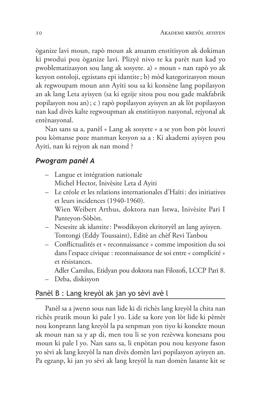òganize lavi moun, rapò moun ak ansanm enstitisyon ak dokiman ki pwodui pou òganize lavi. Plizyè nivo te ka parèt nan kad yo pwoblematizasyon sou lang ak sosyete. a) « moun » nan rapò yo ak kesyon ontoloji, egzistans epi idantite; b) mòd kategorizasyon moun ak regwoupam moun ann Ayiti sou sa ki konsène lang popilasyon an ak lang Leta ayisyen (sa ki egzije sitou pou nou gade makfabrik popilasyon nou an); c ) rapò popilasyon ayisyen an ak lòt popilasyon nan kad divès kalte regwoupman ak enstitisyon nasyonal, rejyonal ak entènasyonal.

Nan sans sa a, panèl « Lang ak sosyete » a se yon bon pòt louvri pou kòmanse poze manman kesyon sa a : Ki akademi ayisyen pou Ayiti, nan ki rejyon ak nan mond?

#### Pwogram panèl A

- Langue et intégration nationale Michel Hector, Inivèsite Leta d'Ayiti
- Le créole et les relations internationales d'Haïti: des initiatives et leurs incidences (1940-1960). Wien Weibert Arthus, doktora nan Istwa, Inivèsite Pari I Panteyon-Sòbòn.
- Nesesite ak idantite: Pwodiksyon ekritoryèl an lang ayisyen. Tontongi (Eddy Toussaint), Editè an chèf Revi Tanbou
- Conflictualités et « reconnaissance » comme imposition du soi dans l'espace civique : reconnaissance de soi entre « complicité » et résistances.
	- Adler Camilus, Etidyan pou doktora nan Filozofi, LCCP Pari 8.
- Deba, diskisyon

#### Panèl B : Lang kreyòl ak jan yo sèvi avè l

Panèl sa a jwenn sous nan lide ki di richès lang kreyòl la chita nan richès pratik moun ki pale l yo. Lide sa kore yon lòt lide ki pèmèt nou konprann lang kreyòl la pa senpman yon tiyo ki konekte moun ak moun nan sa y ap di, men tou li se yon rezèvwa konesans pou moun ki pale l yo. Nan sans sa, li enpòtan pou nou kesyone fason yo sèvi ak lang kreyòl la nan divès domèn lavi popilasyon ayisyen an. Pa egzanp, ki jan yo sèvi ak lang kreyòl la nan domèn lasante kit se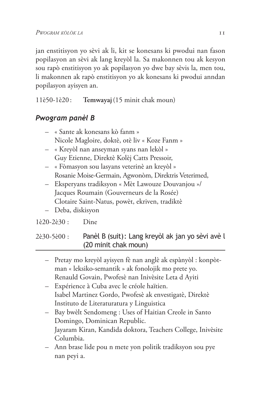jan enstitisyon yo sèvi ak li, kit se konesans ki pwodui nan fason popilasyon an sèvi ak lang kreyòl la. Sa makonnen tou ak kesyon sou rapò enstitisyon yo ak popilasyon yo dwe bay sèvis la, men tou, li makonnen ak rapò enstitisyon yo ak konesans ki pwodui anndan popilasyon ayisyen an.

11è50-1è20: Temwayaj (15 minit chak moun)

## Pwogram panèl B

- « Sante ak konesans kò fanm » Nicole Magloire, doktè, otè liv « Koze Fanm »
- « Kreyòl nan anseyman syans nan lekòl » Guy Etienne, Direktè Kolèj Catts Pressoir,
- « Fòmasyon sou lasyans veterinè an kreyòl » Rosanie Moise-Germain, Agwonòm, Direktris Veterimed,
- Eksperyans tradiksyon « Mèt Lawouze Douvanjou »/ Jacques Roumain (Gouverneurs de la Rosée) Clotaire Saint-Natus, powèt, ekriven, tradiktè
- Deba, diskisyon

#### 1è20-2è30 : Dine

#### Panèl B (suit): Lang kreyòl ak jan yo sèvi avè l 2è30-5è00 : (20 minit chak moun)

- Pretay mo kreyòl ayisyen fè nan anglè ak espànyòl : konpòtman « leksiko-semantik » ak fonolojik mo prete yo. Renauld Govain, Pwofesè nan Inivèsite Leta d Ayiti
- Expérience à Cuba avec le créole haïtien. Isabel Martinez Gordo, Pwofesè ak envestigatè, Direktè Instituto de Literaturatura y Linguistica
- Bay bwèlt Sendomeng : Uses of Haitian Creole in Santo Domingo, Dominican Republic. Jayaram Kiran, Kandida doktora, Teachers College, Inivèsite Columbia.
- Ann brase lide pou n mete yon politik tradiksyon sou pye nan peyi a.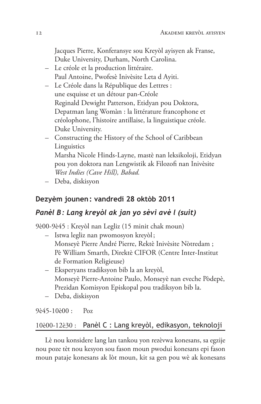Jacques Pierre, Konferansye sou Kreyòl ayisyen ak Franse, Duke University, Durham, North Carolina.

- Le créole et la production littéraire. Paul Antoine, Pwofesè Inivèsite Leta d Ayiti.
- Le Créole dans la République des Lettres : une esquisse et un détour pan-Créole Reginald Dewight Patterson, Etidyan pou Doktora, Depatman lang Womàn : la littérature francophone et créolophone, l'histoire antillaise, la linguistique créole. Duke University.
- Constructing the History of the School of Caribbean Linguistics Marsha Nicole Hinds-Layne, mastè nan leksikoloji, Etidyan pou yon doktora nan Lengwistik ak Filozofi nan Inivèsite West Indies (Cave Hill), Babad.
- Deba, diskisyon

### Dezyèm jounen: vandredi 28 oktòb 2011

## Panèl B: Lang kreyòl ak jan yo sèvi avè l (suit)

9è00-9è45 : Kreyòl nan Legliz (15 minit chak moun)

- Istwa legliz nan pwomosyon kreyòl;
	- Monseyè Pierre André Pierre, Rektè Inivèsite Nòtredam ; Pè William Smarth, Direktè CIFOR (Centre Inter-Institut de Formation Religieuse)
- Eksperyans tradiksyon bib la an kreyòl, Monseyè Pierre-Antoine Paulo, Monseyè nan eveche Pòdepè, Prezidan Komisyon Episkopal pou tradiksyon bib la.
- Deba, diskisyon

9è45-10è00 :  $Poz$ 

#### Panèl C : Lang kreyòl, edikasyon, teknoloji 10è00-12è30 :

Lè nou konsidere lang lan tankou yon rezèvwa konesans, sa egzije nou poze tèt nou kesyon sou fason moun pwodui konesans epi fason moun pataje konesans ak lòt moun, kit sa gen pou wè ak konesans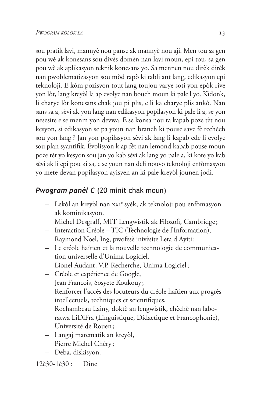sou pratik lavi, mannyè nou panse ak mannyè nou aji. Men tou sa gen pou wè ak konesans sou divès domèn nan lavi moun, epi tou, sa gen pou wè ak aplikasyon teknik konesans yo. Sa mennen nou dirèk dirèk nan pwoblematizasyon sou mòd rapò ki tabli ant lang, edikasyon epi teknoloji. E kòm pozisyon tout lang toujou varye soti yon epòk rive yon lòt, lang kreyòl la ap evolye nan bouch moun ki pale l yo. Kidonk, li charye lòt konesans chak jou pi plis, e li ka charye plis ankò. Nan sans sa a, sèvi ak yon lang nan edikasyon popilasyon ki pale li a, se yon nesesite e se menm yon devwa. E se konsa nou ta kapab poze tèt nou kesyon, si edikasyon se pa youn nan branch ki pouse save fè rechèch sou yon lang? Jan yon popilasyon sèvi ak lang li kapab ede li evolye sou plan syantifik. Evolisyon k ap fèt nan lemond kapab pouse moun poze tèt yo kesyon sou jan yo kab sèvi ak lang yo pale a, ki kote yo kab sèvi ak li epi pou ki sa, e se youn nan defi nouvo teknoloji enfòmasyon yo mete devan popilasyon ayisyen an ki pale kreyòl jounen jodi.

### Pwogram panèl C (20 minit chak moun)

- Lekòl an kreyòl nan xxi<sup>e</sup> syèk, ak teknoloji pou enfòmasyon ak kominikasyon.

Michel Desgraff, MIT Lengwistik ak Filozofi, Cambridge;

- Interaction Créole TIC (Technologie de l'Information), Raymond Noel, Ing, pwofesè inivèsite Leta d'Ayiti:
- Le créole haïtien et la nouvelle technologie de communication universelle d'Unima Logiciel. Lionel Audant, V.P. Recherche, Unima Logiciel;
- Créole et expérience de Google, Jean Francois, Sosyete Koukouy;
- Renforcer l'accès des locuteurs du créole haïtien aux progrès intellectuels, techniques et scientifiques, Rochambeau Lainy, doktè an lengwistik, chèchè nan laboratwa LiDiFra (Linguistique, Didactique et Francophonie), Université de Rouen;
- Langaj matematik an kreyòl, Pierre Michel Chéry;
- Deba, diskisyon.

#### 12è30-1è30 : Dine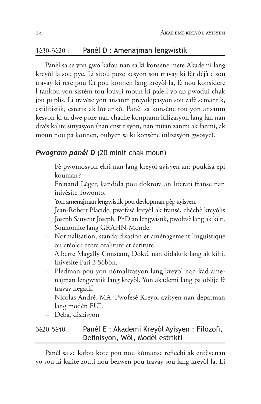#### Panèl D : Amenajman lengwistik  $1e30-3e20$ :

Panèl sa se yon gwo kafou nan sa ki konsène mete Akademi lang kreyòl la sou pye. Li sitou poze kesyon sou travay ki fèt déjà e sou travay ki rete pou fèt pou konnen lang kreyòl la, lè nou konsidere l tankou yon sistèm tou louvri moun ki pale l yo ap pwodui chak jou pi plis. Li travèse yon ansanm preyokipasyon sou zafè semantik, estilitistik, estetik ak lòt ankò. Panèl sa konsène tou yon ansanm kesyon ki ta dwe poze nan chache konprann itilizasyon lang lan nan divès kalite sitiyasyon (nan enstitisyon, nan mitan zanmi ak fanmi, ak moun nou pa konnen, oubyen sa ki konsène itilizasyon gwosye).

#### **Pwogram panèl D** (20 minit chak moun)

- Fè pwomosyon ekri nan lang kreyòl ayisyen an: poukisa epi kouman?
	- Frenand Léger, kandida pou doktora an literati franse nan inivèsite Towonto.
- Yon amenajman lengwistik pou devlopman pèp ayisyen. Jean-Robert Placide, pwofesè kreyòl ak fransè, chèchè kreyòlis Joseph Sauveur Joseph, PhD an lengwistik, pwofesè lang ak kilti. Soukomite lang GRAHN-Monde.
- Normalisation, standardisation et aménagement linguistique ou créole: entre oraliture et écriture. Alberte Magally Constant, Doktè nan didaktik lang ak kilti, Inivesite Pari 3 Sòbòn.
- Pledman pou yon nòmalizasyon lang kreyòl nan kad amenajman lengwistik lang kreyòl. Yon akademi lang pa oblije fè travay negatif.

Nicolas André, MA, Pwofesè Kreyòl ayisyen nan depatman lang modèn FUI.

– Deba, diskisyon

#### Panèl E : Akademi Kreyòl Ayisyen : Filozofi,  $3e20-5e40:$ Definisyon, Wòl, Modèl estrikti

Panèl sa se kafou kote pou nou kòmanse reflechi ak entèvenan yo sou ki kalite zouti nou bezwen pou travay sou lang kreyòl la. Li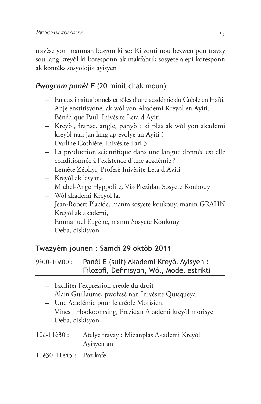travèse yon manman kesyon ki se: Ki zouti nou bezwen pou travay sou lang kreyòl ki koresponn ak makfabrik sosyete a epi koresponn ak kontèks sosyolojik ayisyen

## **Pwogram panèl E** (20 minit chak moun)

- Enjeux institutionnels et rôles d'une académie du Créole en Haïti. Anje enstitisyonèl ak wòl yon Akademi Kreyòl en Ayiti. Bénédique Paul, Inivèsite Leta d Ayiti
- Kreyòl, franse, angle, panyòl: ki plas ak wòl yon akademi kreyòl nan jan lang ap evolye an Ayiti ? Darline Cothière, Inivèsite Pari 3
- La production scientifique dans une langue donnée est elle conditionnée à l'existence d'une académie ? Lemète Zéphyr, Profesè Inivèsite Leta d Ayiti
- Kreyòl ak lasyans Michel-Ange Hyppolite, Vis-Prezidan Sosyete Koukouy
- Wòl akademi Kreyòl la, Jean-Robert Placide, manm sosyete koukouy, manm GRAHN Kreyòl ak akademi, Emmanuel Eugène, manm Sosyete Koukouy
- Deba, diskisyon

## Twazyèm jounen : Samdi 29 oktòb 2011

9è00-10è00: Panèl E (suit) Akademi Kreyòl Ayisyen : Filozofi, Definisyon, Wòl, Modèl estrikti

- Faciliter l'expression créole du droit Alain Guillaume, pwofesè nan Inivèsite Quisqueya - Une Académie pour le créole Morisien.
	- Vinesh Hookoomsing, Prezidan Akademi kreyòl morisyen
- Deba, diskisyon
- 10è-11è30 : Atelye travay : Mizanplas Akademi Kreyòl Ayisyen an
- 11è30-11è45 : Poz kafe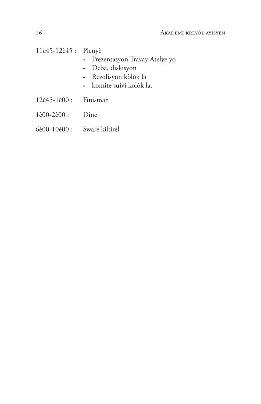11è45-12è45 : Plenyè

- Prezentasyon Travay Atelye yo  $\lambda$
- » Deba, diskisyon
- » Rezolisyon kòlòk la
- » komite suivi kòlòk la.
- 12è45-1è00 : Finisman
- $1\text{e}00 2\text{e}00$ : Dine
- 6è00-10è00 : Sware kiltirèl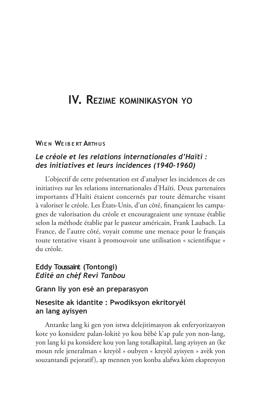# IV. REZIME KOMINIKASYON YO

#### **WIFN WEIRERT ARTHUS**

#### Le créole et les relations internationales d'Haïti : des initiatives et leurs incidences (1940-1960)

L'objectif de cette présentation est d'analyser les incidences de ces initiatives sur les relations internationales d'Haïti. Deux partenaires importants d'Haïti étaient concernés par toute démarche visant à valoriser le créole. Les États-Unis, d'un côté, finançaient les campagnes de valorisation du créole et encourageaient une syntaxe établie selon la méthode établie par le pasteur américain, Frank Laubach. La France, de l'autre côté, voyait comme une menace pour le français toute tentative visant à promouvoir une utilisation « scientifique » du créole

#### Eddy Toussaint (Tontongi) Editè an chèf Revi Tanbou

#### Grann liy yon esè an preparasyon

#### Nesesite ak idantite : Pwodiksyon ekritoryèl an lang ayisyen

Antanke lang ki gen yon istwa delejitimasyon ak enferyorizasyon kote yo konsidere palan-lokitè yo kou bèbè k'ap pale yon non-lang, yon lang ki pa konsidere kou yon lang totalkapital, lang ayisyen an (ke moun rele jeneralman « kreyòl » oubyen « kreyòl ayisyen » avèk yon souzantandi pejoratif), ap mennen yon konba alafwa kòm ekspresyon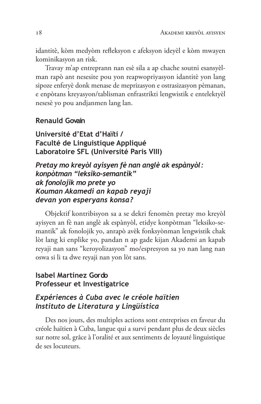idantitè, kòm medyòm refleksyon e afeksyon ideyèl e kòm mwayen kominikasyon an risk.

Travay m'ap entreprann nan esè sila a ap chache soutni esansyèlman rapò ant nesesite pou yon reapwopriyasyon idantitè yon lang sipoze enferyè donk menase de meprizasyon e ostrasizasyon pèmanan, e enpòtans kreyasyon/tablisman enfrastrikti lengwistik e entelektyèl nesesè yo pou andjanmen lang lan.

#### **Renauld Govain**

Université d'Etat d'Haïti / Faculté de Linguistique Appliqué Laboratoire SFL (Université Paris VIII)

Pretay mo kreyòl ayisyen fè nan anglè ak espànyòl: konpòtman "leksiko-semantik" ak fonolojik mo prete yo Kouman Akamedi an kapab reyaji devan yon esperyans konsa?

Objektif kontribisyon sa a se dekri fenomèn pretay mo kreyòl ayisyen an fè nan anglè ak espànyòl, etidye konpòtman "leksiko-semantik" ak fonolojik yo, anrapò avèk fonksyònman lengwistik chak lòt lang ki enplike yo, pandan n ap gade kijan Akademi an kapab reyaji nan sans "keroyolizasyon" mo/espresyon sa yo nan lang nan oswa si li ta dwe reyaji nan yon lòt sans.

#### **Isabel Martínez Gordo** Professeur et Investigatrice

#### Expériences à Cuba avec le créole haïtien Instituto de Literatura y Lingüística

Des nos jours, des multiples actions sont entreprises en faveur du créole haïtien à Cuba, langue qui a survi pendant plus de deux siècles sur notre sol, grâce à l'oralité et aux sentiments de loyauté linguistique de ses locuteurs.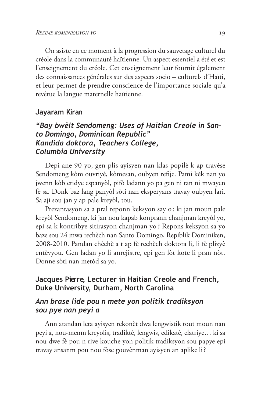On asiste en ce moment à la progression du sauvetage culturel du créole dans la communauté haïtienne. Un aspect essentiel a été et est l'enseignement du créole. Cet enseignement leur fournit également des connaissances générales sur des aspects socio - culturels d'Haïti, et leur permet de prendre conscience de l'importance sociale qu'a revêtue la langue maternelle haïtienne.

#### Jayaram Kiran

#### "Bay bwelt Sendomeng: Uses of Haitian Creole in Santo Domingo, Dominican Republic" Kandida doktora, Teachers College, Columbia University

Depi ane 90 yo, gen plis ayisyen nan klas popilè k ap travèse Sendomeng kòm ouvriyè, kòmesan, oubyen refije. Pami kèk nan yo jwenn kòb etidye espanyòl, pifò ladann yo pa gen ni tan ni mwayen fè sa. Donk baz lang panyòl sòti nan eksperyans travay oubyen lari. Sa aji sou jan y ap pale kreyòl, tou.

Prezantasyon sa a pral reponn keksyon say o: ki jan moun pale kreyòl Sendomeng, ki jan nou kapab konprann chanjman kreyòl yo, epi sa k kontribye sitirasyon chanjman yo? Repons keksyon sa yo baze sou 24 mwa rechèch nan Santo Domingo, Repiblik Dominiken, 2008-2010. Pandan chèchè a t ap fè rechèch doktora li, li fè plizyè entèvyou. Gen ladan yo li anrejistre, epi gen lòt kote li pran nòt. Donne sòti nan metòd sa yo.

#### Jacques Pierre, Lecturer in Haitian Creole and French, Duke University, Durham, North Carolina

#### Ann brase lide pou n mete yon politik tradiksyon sou pye nan peyi a

Ann atandan leta ayisyen rekonèt dwa lengwistik tout moun nan peyi a, nou-menm kreyolis, tradiktè, lengwis, edikatè, elatriye... ki sa nou dwe fè pou n rive kouche yon politik tradiksyon sou papye epi travay ansanm pou nou fòse gouvènman ayisyen an aplike li?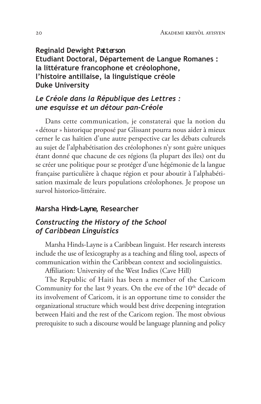**Reginald Dewight Patterson** Etudiant Doctoral, Département de Langue Romanes : la littérature francophone et créolophone, l'histoire antillaise, la linguistique créole **Duke University** 

### Le Créole dans la République des Lettres : une esquisse et un détour pan-Créole

Dans cette communication, je constaterai que la notion du « détour » historique proposé par Glissant pourra nous aider à mieux cerner le cas haïtien d'une autre perspective car les débats culturels au sujet de l'alphabétisation des créolophones n'y sont guère uniques étant donné que chacune de ces régions (la plupart des îles) ont du se créer une politique pour se protéger d'une hégémonie de la langue française particulière à chaque région et pour aboutir à l'alphabétisation maximale de leurs populations créolophones. Je propose un survol historico-littéraire.

#### Marsha Hinds-Layne, Researcher

#### Constructing the History of the School of Caribbean Linguistics

Marsha Hinds-Layne is a Caribbean linguist. Her research interests include the use of lexicography as a teaching and filing tool, aspects of communication within the Caribbean context and sociolinguistics.

Affiliation: University of the West Indies (Cave Hill)

The Republic of Haiti has been a member of the Caricom Community for the last 9 years. On the eve of the 10<sup>th</sup> decade of its involvement of Caricom, it is an opportune time to consider the organizational structure which would best drive deepening integration between Haiti and the rest of the Caricom region. The most obvious prerequisite to such a discourse would be language planning and policy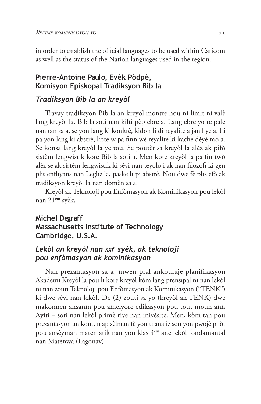in order to establish the official languages to be used within Caricom as well as the status of the Nation languages used in the region.

#### Pierre-Antoine Paulo, Evèk Pòdpè, Komisyon Episkopal Tradiksyon Bib la

#### Tradiksyon Bib la an kreyòl

Travay tradiksyon Bib la an kreyòl montre nou ni limit ni valè lang kreyòl la. Bib la soti nan kilti pèp ebre a. Lang ebre yo te pale nan tan sa a, se yon lang ki konkrè, kidon li di reyalite a jan l ye a. Li pa yon lang ki abstrè, kote w pa finn wè reyalite ki kache dèyè mo a. Se konsa lang kreyòl la ye tou. Se poutèt sa kreyòl la alèz ak pifò sistèm lengwistik kote Bib la soti a. Men kote kreyòl la pa fin twò alèz se ak sistèm lengwistik ki sèvi nan teyoloji ak nan filozofi ki gen plis enfliyans nan Legliz la, paske li pi abstrè. Nou dwe fè plis efò ak tradiksyon kreyòl la nan domèn sa a.

Kreyòl ak Teknoloji pou Enfòmasyon ak Kominikasyon pou lekòl nan 21<sup>èm</sup> syèk.

### **Michel Degraff** Massachusetts Institute of Technology Cambridge, U.S.A.

#### Lekòl an kreyòl nan xxre syèk, ak teknoloji pou enfòmasyon ak kominikasyon

Nan prezantasyon sa a, mwen pral ankouraje planifikasyon Akademi Kreyòl la pou li kore kreyòl kòm lang prensipal ni nan lekòl ni nan zouti Teknoloji pou Enfòmasyon ak Kominikasyon ("TENK") ki dwe sèvi nan lekòl. De (2) zouti sa yo (kreyòl ak TENK) dwe makonnen ansanm pou amelyore edikasyon pou tout moun ann Ayiti – soti nan lekòl primè rive nan inivèsite. Men, kòm tan pou prezantasyon an kout, n ap sèlman fè yon ti analiz sou yon pwojè pilòt pou ansèyman matematik nan yon klas 4èm ane lekòl fondamantal nan Matènwa (Lagonav).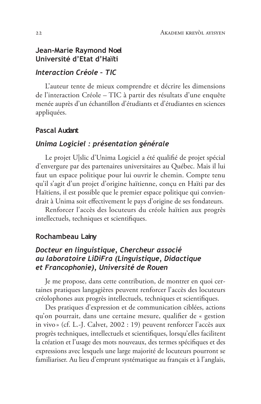#### Jean-Marie Raymond Noel Université d'Etat d'Haïti

#### Interaction Créole - TIC

L'auteur tente de mieux comprendre et décrire les dimensions de l'interaction Créole - TIC à partir des résultats d'une enquête menée auprès d'un échantillon d'étudiants et d'étudiantes en sciences appliquées.

#### **Pascal Audant**

#### Unima Logiciel : présentation générale

Le projet Uslic d'Unima Logiciel a été qualifié de projet spécial d'envergure par des partenaires universitaires au Québec. Mais il lui faut un espace politique pour lui ouvrir le chemin. Compte tenu qu'il s'agit d'un projet d'origine haïtienne, conçu en Haïti par des Haïtiens, il est possible que le premier espace politique qui conviendrait à Unima soit effectivement le pays d'origine de ses fondateurs.

Renforcer l'accès des locuteurs du créole haïtien aux progrès intellectuels, techniques et scientifiques.

#### Rochambeau Lainy

#### Docteur en linguistique, Chercheur associé au laboratoire LiDiFra (Linguistique, Didactique et Francophonie), Université de Rouen

Je me propose, dans cette contribution, de montrer en quoi certaines pratiques langagières peuvent renforcer l'accès des locuteurs créolophones aux progrès intellectuels, techniques et scientifiques.

Des pratiques d'expression et de communication ciblées, actions qu'on pourrait, dans une certaine mesure, qualifier de « gestion in vivo» (cf. L.-J. Calvet, 2002 : 19) peuvent renforcer l'accès aux progrès techniques, intellectuels et scientifiques, lorsqu'elles facilitent la création et l'usage des mots nouveaux, des termes spécifiques et des expressions avec lesquels une large majorité de locuteurs pourront se familiariser. Au lieu d'emprunt systématique au français et à l'anglais,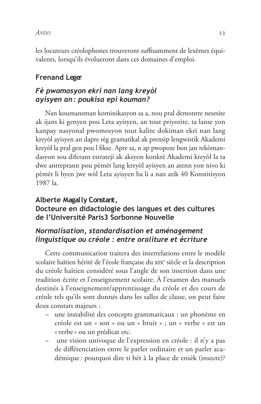#### ANÈKS

les locuteurs créolophones trouveront suffisamment de lexèmes équivalents, lorsqu'ils évolueront dans ces domaines d'emploi.

### **Frenand Leger**

### Fè pwomosyon ekri nan lang kreyòl ayisyen an: poukisa epi kouman?

Nan koumansman kominikasyon sa a, nou pral demontre nesesite ak ijans ki genyen pou Leta ayisyen, an tout priyorite, ta lanse yon kanpay nasyonal pwomosyon tout kalite dokiman ekri nan lang kreyòl ayisyen an dapre règ gramatikal ak prensip lengwistik Akademi kreyòl la pral gen pou l fikse. Apre sa, n ap pwopoze bon jan rekòmandasyon sou diferant estrateji ak aksyon konkrè Akademi kreyòl la ta dwe antreprann pou pèmèt lang kreyòl ayisyen an atenn yon nivo ki pèmèt li byen jwe wòl Leta ayisyen ba li a nan atik 40 Konstitisyon 1987 la.

#### Alberte Magally Constant,

#### Docteure en didactologie des langues et des cultures de l'Université Paris3 Sorbonne Nouvelle

#### Normalisation, standardisation et aménagement linguistique ou créole : entre oraliture et écriture

Cette communication traitera des interrelations entre le modèle scolaire haïtien hérité de l'école française du xIX<sup>e</sup> siècle et la description du créole haïtien considéré sous l'angle de son insertion dans une tradition écrite et l'enseignement scolaire. À l'examen des manuels destinés à l'enseignement/apprentissage du créole et des cours de créole tels qu'ils sont donnés dans les salles de classe, on peut faire deux constats majeurs :

- une instabilité des concepts grammaticaux : un phonème en créole est un « son » ou un « bruit » ; un « verbe » est un «verbe» ou un prédicat etc.
- une vision univoque de l'expression en créole : il n'y a pas de différenciation entre le parler ordinaire et un parler académique: pourquoi dire ti bèt à la place de ensèk (insecte)?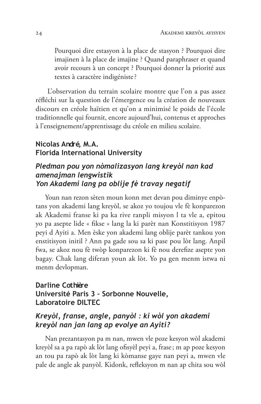Pourquoi dire estasyon à la place de stasyon ? Pourquoi dire imajinen à la place de imajine ? Quand paraphraser et quand avoir recours à un concept ? Pourquoi donner la priorité aux textes à caractère indigéniste?

L'observation du terrain scolaire montre que l'on a pas assez réfléchi sur la question de l'émergence ou la création de nouveaux discours en créole haïtien et qu'on a minimisé le poids de l'école traditionnelle qui fournit, encore aujourd'hui, contenus et approches à l'enseignement/apprentissage du créole en milieu scolaire.

#### Nicolas André, M.A. **Florida International University**

#### Pledman pou yon nòmalizasyon lang kreyòl nan kad amenajman lengwistik Yon Akademi lang pa oblije fè travay negatif

Youn nan rezon sèten moun konn met devan pou diminye enpòtans yon akademi lang kreyòl, se akoz yo toujou vle fè konparezon ak Akademi franse ki pa ka rive ranpli misyon l ta vle a, epitou yo pa asepte lide « fikse » lang la ki parèt nan Konstitisyon 1987 peyi d Ayiti a. Men èske yon akademi lang oblije parèt tankou yon enstitisyon initil? Ann pa gade sou sa ki pase pou lòt lang. Anpil fwa, se akoz nou fè twòp konparezon ki fè nou derefize asepte yon bagay. Chak lang diferan youn ak lòt. Yo pa gen menm istwa ni menm devlopman.

#### Darline Cothière Université Paris 3 - Sorbonne Nouvelle, **Laboratoire DILTEC**

### Kreyòl, franse, angle, panyòl : ki wòl yon akademi kreyòl nan jan lang ap evolye an Ayiti?

Nan prezantasyon pa m nan, mwen vle poze kesyon wòl akademi kreyòl sa a pa rapò ak lòt lang ofisyèl peyi a, frase; m ap poze kesyon an tou pa rapò ak lòt lang ki kòmanse gaye nan peyi a, mwen vle pale de angle ak panyòl. Kidonk, refleksyon m nan ap chita sou wòl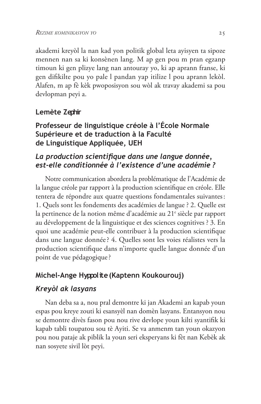akademi kreyòl la nan kad yon politik global leta ayisyen ta sipoze mennen nan sa ki konsènen lang. M ap gen pou m pran egzanp timoun ki gen plizye lang nan antouray yo, ki ap aprann franse, ki gen difikilte pou yo pale l pandan yap itilize l pou aprann lekòl. Alafen, m ap fè kèk pwoposisyon sou wòl ak travay akademi sa pou devlopman peyi a.

#### Lemète Zephir

### Professeur de linguistique créole à l'École Normale Supérieure et de traduction à la Faculté de Linguistique Appliquée, UEH

### La production scientifique dans une langue donnée, est-elle conditionnée à l'existence d'une académie ?

Notre communication abordera la problématique de l'Académie de la langue créole par rapport à la production scientifique en créole. Elle tentera de répondre aux quatre questions fondamentales suivantes: 1. Quels sont les fondements des académies de langue ? 2. Quelle est la pertinence de la notion même d'académie au 21<sup>e</sup> siècle par rapport au développement de la linguistique et des sciences cognitives ? 3. En quoi une académie peut-elle contribuer à la production scientifique dans une langue donnée? 4. Quelles sont les voies réalistes vers la production scientifique dans n'importe quelle langue donnée d'un point de vue pédagogique?

## Michel-Ange Hyppolite (Kaptenn Koukourouj)

### Kreyòl ak lasyans

Nan deba sa a, nou pral demontre ki jan Akademi an kapab youn espas pou kreye zouti ki esansyèl nan domèn lasyans. Entansyon nou se demontre divès fason pou nou rive devlope youn kilti syantifik ki kapab tabli toupatou sou tè Ayiti. Se va anmenm tan youn okazyon pou nou pataje ak piblik la youn seri eksperyans ki fèt nan Kebèk ak nan sosyete sivil lòt peyi.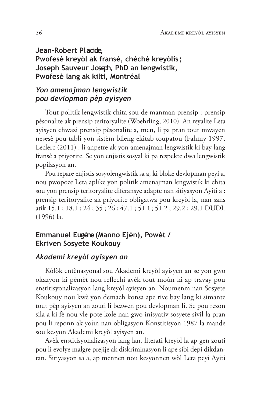Jean-Robert Placide, Pwofesè kreyòl ak fransè, chèchè kreyòlis; Joseph Sauveur Joseph, PhD an lengwistik, Pwofesè lang ak kilti, Montréal

#### Yon amenajman lengwistik pou devlopman pèp ayisyen

Tout politik lengwistik chita sou de manman prensip : prensip pèsonalite ak prensip teritoryalite (Woehrling, 2010). An reyalite Leta ayisyen chwazi prensip pèsonalite a, men, li pa pran tout mwayen nesesè pou tabli yon sistèm bileng ekitab toupatou (Fahmy 1997, Leclerc (2011) : li anpetre ak yon amenajman lengwistik ki bay lang fransè a priyorite. Se yon enjistis sosyal ki pa respekte dwa lengwistik popilasyon an.

Pou repare enjistis sosyolengwistik sa a, ki bloke devlopman peyi a, nou pwopoze Leta aplike yon politik amenajman lengwistik ki chita sou yon prensip teritoryalite diferansye adapte nan sitiyasyon Ayiti a : prensip teritoryalite ak priyorite obligatwa pou kreyòl la, nan sans atik 15.1; 18.1; 24; 35; 26; 47.1; 51.1; 51.2; 29.2; 29.1 DUDL  $(1996)$  la.

#### Emmanuel Eugène (Manno Ejèn), Powèt / **Ekriven Sosyete Koukouy**

#### Akademi kreyòl ayisyen an

Kòlòk entènasyonal sou Akademi kreyòl ayisyen an se yon gwo okazyon ki pèmèt nou reflechi avèk tout moùn ki ap travay pou enstitisyonalizasyon lang kreyòl ayisyen an. Noumenm nan Sosyete Koukouy nou kwè yon demach konsa ape rive bay lang ki simante tout pèp ayisyen an zouti li bezwen pou devlopman li. Se pou rezon sila a ki fè nou vle pote kole nan gwo inisyativ sosyete sivil la pran pou li reponn ak yoùn nan obligasyon Konstitisyon 1987 la mande sou kesyon Akademi kreyòl ayisyen an.

Avèk enstitisyonalizasyon lang lan, literati kreyòl la ap gen zouti pou li evolye malgre prejije ak diskriminasyon li ape sibi depi dikdantan. Sitiyasyon sa a, ap mennen nou kesyonnen wòl Leta peyi Ayiti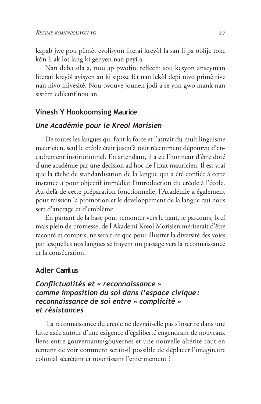kapab jwe pou pèmèt evolisyon literai kreyòl la san li pa oblije toke kòn li ak lòt lang ki genyen nan peyi a.

Nan deba sila a, nou ap pwofite reflechi sou kesyon anseyman literati kreyòl ayisyen an ki sipoze fèt nan lekòl depi nivo primè rive nan nivo inivèsitè. Nou twouve jounen jodi a se yon gwo mank nan sistèm edikatif nou an.

#### **Vinesh Y Hookoomsing Maurice**

#### Une Académie pour le Kreol Morisien

De toutes les langues qui font la force et l'attrait du multilinguisme mauricien, seul le créole était jusqu'à tout récemment dépourvu d'encadrement institutionnel. En attendant, il a eu l'honneur d'être doté d'une académie par une décision ad hoc de l'Etat mauricien. Il est vrai que la tâche de standardisation de la langue qui a été confiée à cette instance a pour objectif immédiat l'introduction du créole à l'école. Au-delà de cette préparation fonctionnelle, l'Académie a également pour mission la promotion et le développement de la langue qui nous sert d'ancrage et d'emblème.

En partant de la base pour remonter vers le haut, le parcours, bref mais plein de promesse, de l'Akademi Kreol Morisien mériterait d'être raconté et compris, ne serait-ce que pour illustrer la diversité des voies par lesquelles nos langues se frayent un passage vers la reconnaissance et la consécration.

#### **Adler Camilus**

#### Conflictualités et « reconnaissance » comme imposition du soi dans l'espace civique: reconnaissance de soi entre « complicité » et résistances

La reconnaissance du créole ne devrait-elle pas s'inscrire dans une lutte axée autour d'une exigence d'égaliberté engendrant de nouveaux liens entre gouvernants/gouvernés et une nouvelle altérité tout en tentant de voir comment serait-il possible de déplacer l'imaginaire colonial sécrétant et nourrissant l'enfermement ?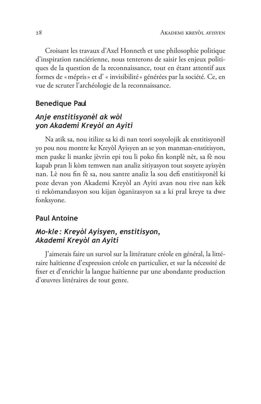Croisant les travaux d'Axel Honneth et une philosophie politique d'inspiration ranciérienne, nous tenterons de saisir les enjeux politiques de la question de la reconnaissance, tout en étant attentif aux formes de « mépris » et d' « invisibilité » générées par la société. Ce, en vue de scruter l'archéologie de la reconnaissance.

#### **Benedique Paul**

### Anje enstitisyonèl ak wòl yon Akademi Kreyòl an Ayiti

Na atik sa, nou itilize sa ki di nan teori sosyolojik ak enstitisyonèl yo pou nou montre ke Kreyòl Ayisyen an se yon manman-enstitisyon, men paske li manke jèvrin epi tou li poko fin konplè nèt, sa fè nou kapab pran li kòm temwen nan analiz sitiyasyon tout sosyete ayisyèn nan. Lè nou fin fè sa, nou santre analiz la sou defi enstitisyonèl ki poze devan yon Akademi Kreyòl an Ayiti avan nou rive nan kèk ti rekòmandasyon sou kijan òganizasyon sa a ki pral kreye ta dwe fonksyone.

#### **Paul Antoine**

#### Mo-kle: Kreyòl Ayisyen, enstitisyon, Akademi Kreyòl an Ayiti

l'aimerais faire un survol sur la littérature créole en général, la littéraire haïtienne d'expression créole en particulier, et sur la nécessité de fixer et d'enrichir la langue haïtienne par une abondante production d'œuvres littéraires de tout genre.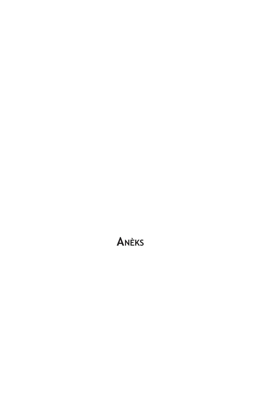# ANÈKS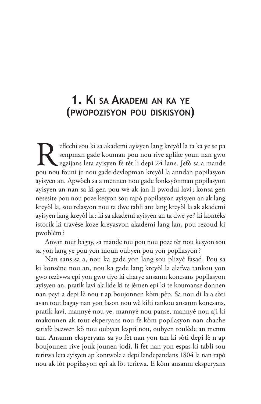# 1. KI SA AKADEMI AN KA YE (PWOPOZISYON POU DISKISYON)

eflechi sou ki sa akademi ayisyen lang kreyòl la ta ka ye se pa senpman gade kouman pou nou rive aplike youn nan gwo egzijans leta ayisyen fè tèt li depi 24 lane. Jefò sa a mande pou nou founi je nou gade devlopman kreyòl la anndan popilasyon ayisyen an. Apwòch sa a mennen nou gade fonksyònman popilasyon ayisyen an nan sa ki gen pou wè ak jan li pwodui lavi; konsa gen nesesite pou nou poze kesyon sou rapò popilasyon ayisyen an ak lang kreyòl la, sou relasyon nou ta dwe tabli ant lang kreyòl la ak akademi ayisyen lang kreyòl la: ki sa akademi ayisyen an ta dwe ye? ki kontèks istorik ki travèse koze kreyasyon akademi lang lan, pou rezoud ki pwoblèm?

Anvan tout bagay, sa mande tou pou nou poze tèt nou kesyon sou sa yon lang ye pou yon moun oubyen pou yon popilasyon?

Nan sans sa a, nou ka gade yon lang sou plizyè fasad. Pou sa ki konsène nou an, nou ka gade lang kreyòl la alafwa tankou yon gwo rezèvwa epi yon gwo tiyo ki charye ansanm konesans popilasyon ayisyen an, pratik lavi ak lide ki te jèmen epi ki te koumanse donnen nan peyi a depi lè nou t ap boujonnen kòm pèp. Sa nou di la a sòti avan tout bagay nan yon fason nou wè kilti tankou ansanm konesans, pratik lavi, mannyè nou ye, mannyè nou panse, mannyè nou aji ki makonnen ak tout ekperyans nou fè kòm popilasyon nan chache satisfè bezwen kò nou oubyen lespri nou, oubyen toulède an menm tan. Ansanm eksperyans sa yo fèt nan yon tan ki sòti depi lè n ap boujounen rive jouk jounen jodi, li fèt nan yon espas ki tabli sou teritwa leta ayisyen ap kontwole a depi lendepandans 1804 la nan rapò nou ak lòt popilasyon epi ak lòt teritwa. E kòm ansanm eksperyans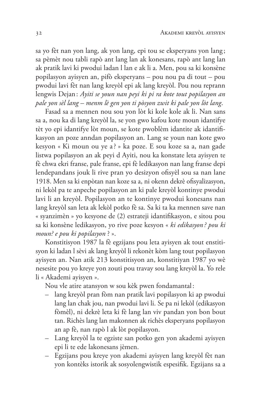sa yo fèt nan yon lang, ak yon lang, epi tou se eksperyans yon lang; sa pèmèt nou tabli rapò ant lang lan ak konesans, rapò ant lang lan ak pratik lavi ki pwodui ladan l lan e ak li a. Men, pou sa ki konsène popilasyon ayisyen an, pifò eksperyans – pou nou pa di tout – pou pwodui lavi fèt nan lang kreyòl epi ak lang kreyòl. Pou nou reprann lengwis Dejan: Ayiti se youn nan peyi ki pi ra kote tout popilasyon an pale yon sèl lang – menm lè gen yon ti pòsyon zwit ki pale yon lòt lang.

Fasad sa a mennen nou sou yon lòt ki kole kole ak li. Nan sans sa a, nou ka di lang kreyòl la, se yon gwo kafou kote moun idantifye tèt yo epi idantifye lòt moun, se kote pwoblèm idantite ak idantifikasyon an poze anndan popilasyon an. Lang se youn nan kote gwo kesyon « Ki moun ou ye a? » ka poze. E sou koze sa a, nan gade listwa popilasyon an ak peyi d Ayiti, nou ka konstate leta ayisyen te fè chwa ekri franse, pale franse, epi fè ledikasyon nan lang franse depi lendepandans jouk li rive pran yo desizyon ofisyèl sou sa nan lane 1918. Men sa ki enpòtan nan koze sa a, ni okenn dekrè ofisyalizasyon, ni lekòl pa te anpeche popilasyon an ki pale kreyòl kontinye pwodui lavi li an kreyòl. Popilasyon an te kontinye pwodui konesans nan lang kreyòl san leta ak lekòl potko fè sa. Sa ki ta ka mennen save nan « syanzimèn » yo kesyone de (2) estrateji idantifikasyon, e sitou pou sa ki konsène ledikasyon, yo rive poze kesyon « ki edikasyon? pou ki moun? e pou ki popilasyon ? ».

Konstitisyon 1987 la fè egzijans pou leta ayisyen ak tout enstitisyon ki ladan l sèvi ak lang kreyòl li rekonèt kòm lang tout popilasyon ayisyen an. Nan atik 213 konstitisyon an, konstitiyan 1987 yo wè nesesite pou yo kreye yon zouti pou travay sou lang kreyòl la. Yo rele li « Akademi ayisyen ».

Nou vle atire atansyon w sou kèk pwen fondamantal:

- lang kreyòl pran fòm nan pratik lavi popilasyon ki ap pwodui lang lan chak jou, nan pwodui lavi li. Se pa ni lekòl (edikasyon fòmèl), ni dekrè leta ki fè lang lan viv pandan yon bon bout tan. Richès lang lan makonnen ak richès eksperyans popilasyon an ap fè, nan rapò l ak lòt popilasyon.
- Lang kreyòl la te egziste san potko gen yon akademi ayisyen epi li te ede lakonesans jèmen.
- Egzijans pou kreye yon akademi ayisyen lang kreyòl fèt nan yon kontèks istorik ak sosyolengwistik espesifik. Egzijans sa a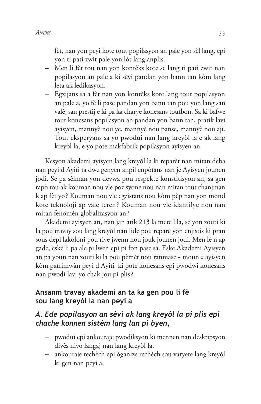fèt, nan yon peyi kote tout popilasyon an pale yon sèl lang, epi yon ti pati zwit pale yon lòt lang anplis.

- Men li fèt tou nan yon kontèks kote se lang ti pati zwit nan popilasyon an pale a ki sèvi pandan yon bann tan kòm lang leta ak ledikasyon.
- Egzijans sa a fèt nan yon kontèks kote lang tout popilasyon an pale a, yo fè li pase pandan yon bann tan pou yon lang san valè, san prestij e ki pa ka charye konesans toutbon. Sa ki bafwe tout konesans popilasyon an pandan yon bann tan, pratik lavi ayisyen, mannyè nou ye, mannyè nou panse, mannyè nou aji. Tout eksperyans sa yo pwodui nan lang kreyòl la e ak lang kreyòl la, e yo pote makfabrik popilasyon ayisyen an.

Kesyon akademi ayisyen lang kreyòl la ki reparèt nan mitan deba nan peyi d Ayiti ta dwe genyen anpil enpòtans nan je Ayisyen jounen jodi. Se pa sèlman yon devwa pou respekte konstitisyon an, sa gen rapò tou ak kouman nou vle pozisyone nou nan mitan tout chanjman k ap fèt yo? Kouman nou vle egzistans nou kòm pèp nan yon mond kote teknoloji ap vale teren? Kouman nou vle idantifye nou nan mitan fenomèn globalizasyon an?

Akademi ayisyen an, nan jan atik 213 la mete l la, se yon zouti ki la pou travay sou lang kreyòl nan lide pou repare yon enjistis ki pran sous depi lakoloni pou rive jwenn nou jouk jounen jodi. Men lè n ap gade, eske li pa ale pi lwen epi pi fon pase sa. Eske Akademi Ayisyen an pa youn nan zouti ki la pou pèmèt nou ranmase « moun » ayisyen kòm patrimwàn peyi d'Ayiti ki pote konesans epi pwodwi konesans nan pwodi lavi yo chak jou pi plis?

### Ansanm travay akademi an ta ka gen pou li fè sou lang kreyòl la nan peyi a

### A. Ede popilasyon an sèvi ak lang kreyòl la pi plis epi chache konnen sistèm lang lan pi byen,

- pwodui epi ankouraje pwodiksyon ki mennen nan deskripsyon divès nivo langaj nan lang kreyòl la,
- ankouraje rechèch epi òganize rechèch sou varyete lang kreyòl  $\,$ ki gen nan peyi a,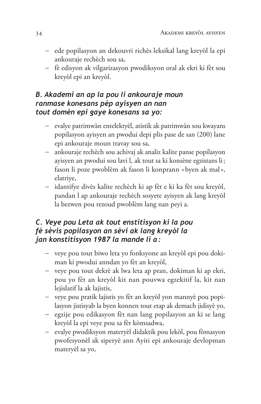- ede popilasyon an dekouvri richès leksikal lang kreyòl la epi ankouraje rechèch sou sa,
- fè edisyon ak vilgarizasyon pwodiksyon oral ak ekri ki fèt sou kreyòl epi an kreyòl.

### B. Akademi an ap la pou li ankouraje moun ranmase konesans pèp ayisyen an nan tout domèn epi gaye konesans sa yo:

- evalye patrimwàn entelektyèl, atistik ak patrimwàn sou kwayans popilasyon ayisyen an pwodui depi plis pase de san (200) lane epi ankouraje moun travay sou sa,
- ankouraje rechèch sou achivaj ak analiz kalite panse popilasyon ayisyen an pwodui sou lavi l, ak tout sa ki konsène egzistans li; fason li poze pwoblèm ak fason li konprann « byen ak mal », elatriye,
- idantifye divès kalite rechèch ki ap fèt e ki ka fèt sou kreyòl, pandan l ap ankouraje rechèch sosyete ayisyen ak lang kreyòl la bezwen pou rezoud pwoblèm lang nan peyi a.

### C. Veye pou Leta ak tout enstitisyon ki la pou fè sèvis popilasyon an sèvi ak lang kreyòl la jan konstitisyon 1987 la mande li a:

- veye pou tout biwo leta yo fonksyone an kreyòl epi pou dokiman ki pwodui anndan yo fèt an kreyòl,
- veye pou tout dekrè ak lwa leta ap pran, dokiman ki ap ekri, pou yo fèt an kreyòl kit nan pouvwa egzekitif la, kit nan lejislatif la ak lajistis,
- veye pou pratik lajistis yo fèt an kreyòl yon mannyè pou popilasyon jistisyab la byen konnen tout etap ak demach jidisyè yo,
- egzije pou edikasyon fèt nan lang popilasyon an ki se lang kreyòl la epi veye pou sa fèt kòmsadwa,
- evalye pwodiksyon materyèl didaktik pou lekòl, pou fòmasyon pwofesyonèl ak siperyè ann Ayiti epi ankouraje devlopman materyèl sa yo,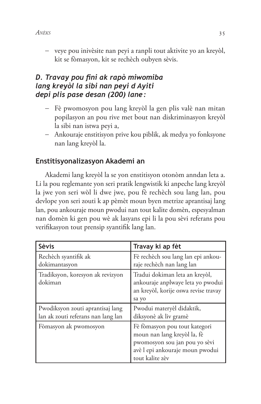- veye pou inivèsite nan peyi a ranpli tout aktivite yo an kreyòl, kit se fòmasyon, kit se rechèch oubyen sèvis.

## D. Travay pou fini ak rapò miwomiba lang kreyòl la sibi nan peyi d Ayiti depi plis pase desan (200) lane:

- Fè pwomosyon pou lang kreyòl la gen plis valè nan mitan popilasyon an pou rive met bout nan diskriminasyon kreyòl la sibi nan istwa peyi a,
- Ankouraje enstitisyon prive kou piblik, ak medya yo fonksyone nan lang kreyòl la.

## Enstitisyonalizasyon Akademi an

Akademi lang kreyòl la se yon enstitisyon otonòm anndan leta a. Li la pou reglemante yon seri pratik lengwistik ki anpeche lang kreyòl la jwe yon seri wòl li dwe jwe, pou fè rechèch sou lang lan, pou devlope yon seri zouti k ap pèmèt moun byen metrize aprantisaj lang lan, pou ankouraje moun pwodui nan tout kalite domèn, espesyalman nan domèn ki gen pou wè ak lasyans epi li la pou sèvi referans pou verifikasyon tout prensip syantifik lang lan.

| Sèvis                                                                  | Travay ki ap fèt                                                                                                                                    |
|------------------------------------------------------------------------|-----------------------------------------------------------------------------------------------------------------------------------------------------|
| Rechèch syantifik ak<br>dokimantasyon                                  | Fè rechèch sou lang lan epi ankou-<br>raje rechèch nan lang lan                                                                                     |
| Tradiksyon, koresyon ak revizyon<br>dokiman                            | Tradui dokiman leta an kreyòl,<br>ankouraje anplwaye leta yo pwodui<br>an kreyòl, korije oswa revise travay<br>sa yo                                |
| Pwodiksyon zouti aprantisaj lang<br>lan ak zouti referans nan lang lan | Pwodui materyèl didaktik,<br>diksyonè ak liv gramè                                                                                                  |
| Fòmasyon ak pwomosyon                                                  | Fè fòmasyon pou tout kategori<br>moun nan lang kreyòl la, fè<br>pwomosyon sou jan pou yo sèvi<br>avè l epi ankouraje moun pwodui<br>tout kalite zèv |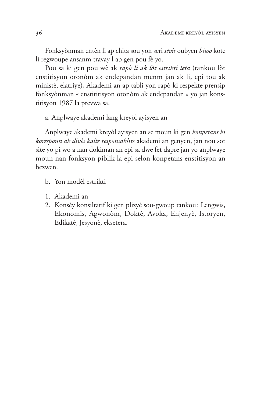Fonksyònman entèn li ap chita sou yon seri sèvis oubyen biwo kote li regwoupe ansanm travay l ap gen pou fè yo.

Pou sa ki gen pou wè ak rapò li ak lòt estrikti leta (tankou lòt enstitisyon otonòm ak endepandan menm jan ak li, epi tou ak ministè, elatriye), Akademi an ap tabli yon rapò ki respekte prensip fonksyònman « enstititisyon otonòm ak endepandan » yo jan konstitisyon 1987 la prevwa sa.

a. Anplwaye akademi lang kreyòl ayisyen an

Anplwaye akademi kreyòl ayisyen an se moun ki gen konpetans ki koresponn ak divès kalte responsablite akademi an genyen, jan nou sot site yo pi wo a nan dokiman an epi sa dwe fèt dapre jan yo anplwaye moun nan fonksyon piblik la epi selon konpetans enstitisyon an bezwen.

- b. Yon modèl estrikti
- 1. Akademi an
- 2. Konsèy konsiltatif ki gen plizyè sou-gwoup tankou: Lengwis, Ekonomis, Agwonòm, Doktè, Avoka, Enjenyè, Istoryen, Edikatè, Jesyonè, eksetera.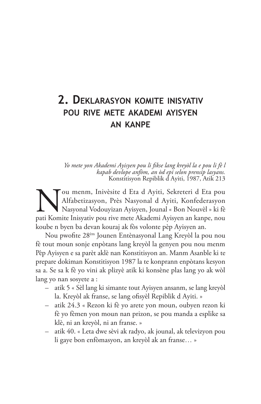## 2. DEKLARASYON KOMITE INISYATIV POU RIVE METE AKADEMI AYISYEN **AN KANPE**

Yo mete yon Akademi Ayisyen pou li fikse lang kreyòl la e pou li fè l kapab devlope anfom, an òd epi selon prensip lasyans.<br>Konstitisyon Repiblik d'Ayiti, 1987, Atik 213

Tou menm, Inivèsite d Eta d Ayiti, Sekreteri d Eta pou Alfabetizasyon, Près Nasyonal d Ayiti, Konfederasyon Nasyonal Vodouyizan Ayisyen, Jounal « Bon Nouvèl » ki fè pati Komite Inisyativ pou rive mete Akademi Ayisyen an kanpe, nou koube n byen ba devan kouraj ak fòs volonte pèp Ayisyen an.

Nou pwofite 28<sup>èm</sup> Jounen Entènasyonal Lang Kreyòl la pou nou fè tout moun sonje enpòtans lang kreyòl la genyen pou nou menm Pèp Ayisyen e sa parèt aklè nan Konstitisyon an. Manm Asanble ki te prepare dokiman Konstitisyon 1987 la te konprann enpòtans kesyon sa a. Se sa k fè yo vini ak plizyè atik ki konsène plas lang yo ak wòl lang yo nan sosyete a :

- atik 5 « Sèl lang ki simante tout Ayisyen ansanm, se lang kreyòl la. Kreyòl ak franse, se lang ofisyèl Repiblik d Ayiti. »
- atik 24.3 « Rezon ki fè yo arete yon moun, oubyen rezon ki fè yo fèmen yon moun nan prizon, se pou manda a esplike sa klè, ni an kreyòl, ni an franse. »
- atik 40. « Leta dwe sèvi ak radyo, ak jounal, ak televizyon pou  $\,$ li gaye bon enfòmasyon, an kreyòl ak an franse... »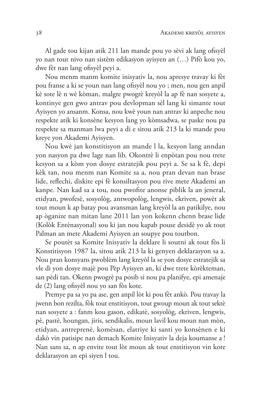Al gade tou kijan atik 211 lan mande pou yo sèvi ak lang ofisyèl yo nan tout nivo nan sistèm edikasyon ayisyen an (...) Pifò kou yo, dwe fèt nan lang ofisyèl peyi a.

Nou menm manm komite inisyativ la, nou apresye travay ki fèt pou franse a ki se youn nan lang ofisyèl nou yo ; men, nou gen anpil kè sote lè n wè kòman, malgre pwogrè kreyòl la ap fè nan sosyete a, kontinye gen gwo antrav pou devlopman sèl lang ki simante tout Ayisyen yo ansanm. Konsa, nou kwè youn nan antrav ki anpeche nou respekte atik ki konsène kesyon lang yo kòmsadwa, se paske nou pa respekte sa manman lwa peyi a di e sitou atik 213 la ki mande pou kreye yon Akademi Ayisyen.

Nou kwè jan konstitisyon an mande l la, kesyon lang anndan yon nasyon pa dwe lage nan lib. Okontrè li enpòtan pou nou trete kesyon sa a kòm yon dosye estratejik pou peyi a. Se sa k fè, depi kèk tan, nou menm nan Komite sa a, nou pran devan nan brase lide, reflechi, diskite epi fè konsiltasyon pou rive mete Akademi an kanpe. Nan kad sa a tou, nou pwofite anonse piblik la an jeneral, etidyan, pwofesè, sosyològ, antwopològ, lengwis, ekriven, powèt ak tout moun k ap batay pou avansman lang kreyòl la an patikilye, nou ap òganize nan mitan lane 2011 lan yon kokenn chenn brase lide (Kolòk Entènasyonal) sou ki jan nou kapab pouse desidè yo ak tout Palman an mete Akademi Ayisyen an soupye pou toutbon.

Se poutèt sa Komite Inisyativ la deklare li soutni ak tout fòs li Konstitisyon 1987 la, sitou atik 213 la ki genyen deklarasyon sa a. Nou pran konsyans pwoblèm lang kreyòl la se yon dosye estratejik sa vle di yon dosye majè pou Pèp Ayisyen an, ki dwe trete kòrèkteman, san pèdi tan. Okenn pwogrè pa posib si nou pa planifye, epi amenaje de (2) lang ofisyèl nou yo san fòs kote.

Premye pa sa yo pa ase, gen anpil lòt ki pou fèt ankò. Pou travay la jwenn bon rezilta, fòk tout enstitisyon, tout gwoup moun ak tout sektè nan sosyete a : fanm kou gason, edikatè, sosyològ, ekriven, lengwis, pè, pastè, houngan, jiris, sendikalis, moun lavil kou moun nan mòn, etidyan, antreprenè, komèsan, elatriye ki santi yo konsènen e ki dakò vin patisipe nan demach Komite Inisyativ la deja koumanse a ! Nan sans sa, n ap envite tout lòt moun ak tout enstitisyon vin kore deklarasyon an epi siyen l tou.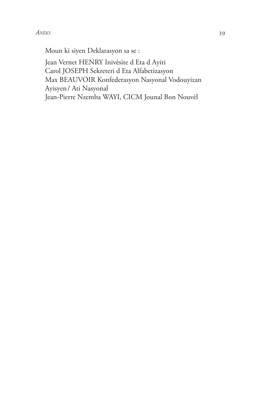Moun ki siyen Deklarasyon sa se :

Jean Vernet HENRY Inivèsite d Eta d Ayiti Carol JOSEPH Sekreteri d Eta Alfabetizasyon Max BEAUVOIR Konfederasyon Nasyonal Vodouyizan Ayisyen / Ati Nasyonal Jean-Pierre Nzemba WAYI, CICM Jounal Bon Nouvèl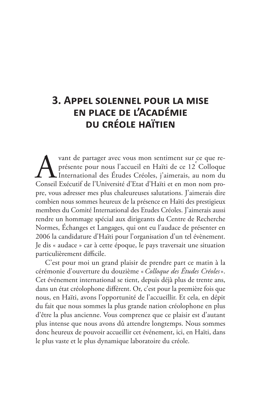## **3. APPEL SOLENNEL POUR LA MISE** EN PLACE DE L'ACADÉMIE **DU CRÉOLE HAÏTIEN**

vant de partager avec vous mon sentiment sur ce que représente pour nous l'accueil en Haïti de ce 12 Colloque International des Études Créoles, j'aimerais, au nom du Conseil Exécutif de l'Université d'Etat d'Haïti et en mon nom propre, vous adresser mes plus chaleureuses salutations. J'aimerais dire combien nous sommes heureux de la présence en Haïti des prestigieux membres du Comité International des Etudes Créoles. J'aimerais aussi rendre un hommage spécial aux dirigeants du Centre de Recherche Normes, Échanges et Langages, qui ont eu l'audace de présenter en 2006 la candidature d'Haïti pour l'organisation d'un tel évènement. Je dis « audace » car à cette époque, le pays traversait une situation particulièrement difficile.

C'est pour moi un grand plaisir de prendre part ce matin à la cérémonie d'ouverture du douzième « Colloque des Études Créoles». Cet événement international se tient, depuis déjà plus de trente ans, dans un état créolophone différent. Or, c'est pour la première fois que nous, en Haïti, avons l'opportunité de l'accueillir. Et cela, en dépit du fait que nous sommes la plus grande nation créolophone en plus d'être la plus ancienne. Vous comprenez que ce plaisir est d'autant plus intense que nous avons dû attendre longtemps. Nous sommes donc heureux de pouvoir accueillir cet événement, ici, en Haïti, dans le plus vaste et le plus dynamique laboratoire du créole.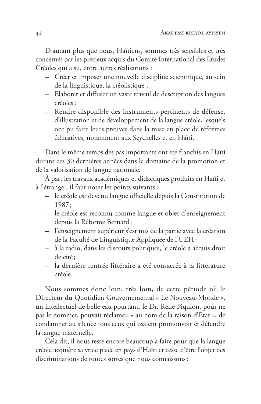D'autant plus que nous, Haïtiens, sommes très sensibles et très concernés par les précieux acquis du Comité International des Etudes Créoles qui a su, entre autres réalisations :

- Créer et imposer une nouvelle discipline scientifique, au sein de la linguistique, la créolistique;
- Elaborer et diffuser un vaste travail de description des langues créoles :
- Rendre disponible des instruments pertinents de défense, d'illustration et de développement de la langue créole, lesquels ont pu faire leurs preuves dans la mise en place de réformes éducatives, notamment aux Seychelles et en Haïti.

Dans le même temps des pas importants ont été franchis en Haïti durant ces 30 dernières années dans le domaine de la promotion et de la valorisation de langue nationale.

À part les travaux académiques et didactiques produits en Haïti et à l'étranger, il faut noter les points suivants :

- le créole est devenu langue officielle depuis la Constitution de  $1987:$
- le créole est reconnu comme langue et objet d'enseignement depuis la Réforme Bernard;
- l'enseignement supérieur s'est mis de la partie avec la création de la Faculté de Linguistique Appliquée de l'UEH ;
- à la radio, dans les discours politiques, le créole a acquis droit de cité:
- la dernière rentrée littéraire a été consacrée à la littérature créole.

Nous sommes donc loin, très loin, de cette période où le Directeur du Quotidien Gouvernemental « Le Nouveau-Monde », un intellectuel de belle eau pourtant, le Dr. René Piquion, pour ne pas le nommer, pouvait réclamer, « au nom de la raison d'Etat », de condamner au silence tous ceux qui osaient promouvoir et défendre la langue maternelle.

Cela dit, il nous reste encore beaucoup à faire pour que la langue créole acquière sa vraie place en pays d'Haïti et cesse d'être l'objet des discriminations de toutes sortes que nous connaissons: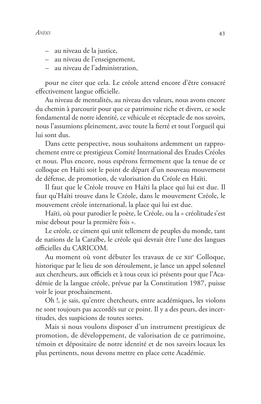- au niveau de la justice,
- au niveau de l'enseignement,
- au niveau de l'administration.  $\equiv$  .

pour ne citer que cela. Le créole attend encore d'être consacré effectivement langue officielle.

Au niveau de mentalités, au niveau des valeurs, nous avons encore du chemin à parcourir pour que ce patrimoine riche et divers, ce socle fondamental de notre identité, ce véhicule et réceptacle de nos savoirs, nous l'assumions pleinement, avec toute la fierté et tout l'orgueil qui lui sont dus.

Dans cette perspective, nous souhaitons ardemment un rapprochement entre ce prestigieux Comité International des Etudes Créoles et nous. Plus encore, nous espérons fermement que la tenue de ce colloque en Haïti soit le point de départ d'un nouveau mouvement de défense, de promotion, de valorisation du Créole en Haïti.

Il faut que le Créole trouve en Haïti la place qui lui est due. Il faut qu'Haïti trouve dans le Créole, dans le mouvement Créole, le mouvement créole international, la place qui lui est due.

Haïti, où pour parodier le poète, le Créole, ou la « créolitude s'est mise debout pour la première fois ».

Le créole, ce ciment qui unit tellement de peuples du monde, tant de nations de la Caraïbe, le créole qui devrait être l'une des langues officielles du CARICOM.

Au moment où vont débuter les travaux de ce XII<sup>e</sup> Colloque, historique par le lieu de son déroulement, je lance un appel solennel aux chercheurs, aux officiels et à tous ceux ici présents pour que l'Académie de la langue créole, prévue par la Constitution 1987, puisse voir le jour prochainement.

Oh !, je sais, qu'entre chercheurs, entre académiques, les violons ne sont toujours pas accordés sur ce point. Il y a des peurs, des incertitudes, des suspicions de toutes sortes.

Mais si nous voulons disposer d'un instrument prestigieux de promotion, de développement, de valorisation de ce patrimoine, témoin et dépositaire de notre identité et de nos savoirs locaux les plus pertinents, nous devons mettre en place cette Académie.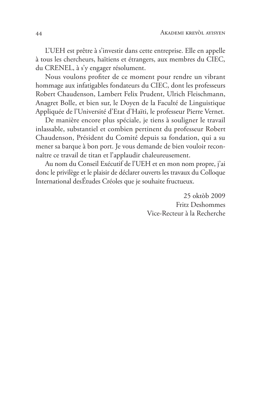L'UEH est prêtre à s'investir dans cette entreprise. Elle en appelle à tous les chercheurs, haïtiens et étrangers, aux membres du CIEC, du CRENEL, à s'y engager résolument.

Nous voulons profiter de ce moment pour rendre un vibrant hommage aux infatigables fondateurs du CIEC, dont les professeurs Robert Chaudenson, Lambert Felix Prudent, Ulrich Fleischmann, Anagret Bolle, et bien sur, le Doyen de la Faculté de Linguistique Appliquée de l'Université d'Etat d'Haïti, le professeur Pierre Vernet.

De manière encore plus spéciale, je tiens à souligner le travail inlassable, substantiel et combien pertinent du professeur Robert Chaudenson, Président du Comité depuis sa fondation, qui a su mener sa barque à bon port. Je vous demande de bien vouloir reconnaître ce travail de titan et l'applaudir chaleureusement.

Au nom du Conseil Exécutif de l'UEH et en mon nom propre, j'ai donc le privilège et le plaisir de déclarer ouverts les travaux du Colloque International desÉtudes Créoles que je souhaite fructueux.

> 25 oktòb 2009 Fritz Deshommes Vice-Recteur à la Recherche